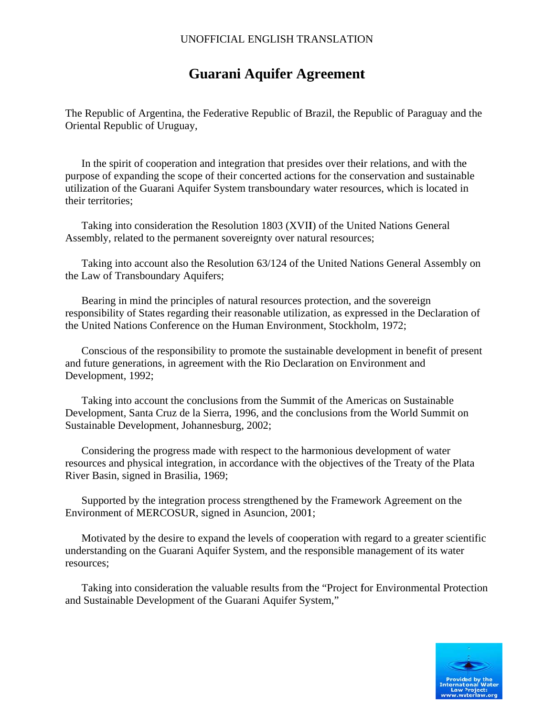# **Guarani Aquifer Agreement**

The Republic of Argentina, the Federative Republic of Brazil, the Republic of Paraguay and the Oriental Republic of Uruguay,

In the spirit of cooperation and integration that presides over their relations, and with the purpose of expanding the scope of their concerted actions for the conservation and sustainable utilization of the Guarani Aquifer System transboundary water resources, which is located in their territories:

Taking into consideration the Resolution 1803 (XVII) of the United Nations General Assembly, related to the permanent sovereignty over natural resources;

Taking into account also the Resolution 63/124 of the United Nations General Assembly on the Law of Transboundary Aquifers;

Bearing in mind the principles of natural resources protection, and the sovereign responsibility of States regarding their reasonable utilization, as expressed in the Declaration of the United Nations Conference on the Human Environment, Stockholm, 1972;

Conscious of the responsibility to promote the sustainable development in benefit of present and future generations, in agreement with the Rio Declaration on Environment and Development, 1992;

Taking into account the conclusions from the Summit of the Americas on Sustainable Development, Santa Cruz de la Sierra, 1996, and the conclusions from the World Summit on Sustainable Development, Johannesburg, 2002;

Considering the progress made with respect to the harmonious development of water resources and physical integration, in accordance with the objectives of the Treaty of the Plata River Basin, signed in Brasilia, 1969;

Supported by the integration process strengthened by the Framework Agreement on the Environment of MERCOSUR, signed in Asuncion, 2001;

Motivated by the desire to expand the levels of cooperation with regard to a greater scientific understanding on the Guarani Aquifer System, and the responsible management of its water resources:

Taking into consideration the valuable results from the "Project for Environmental Protection" and Sustainable Development of the Guarani Aquifer System,"

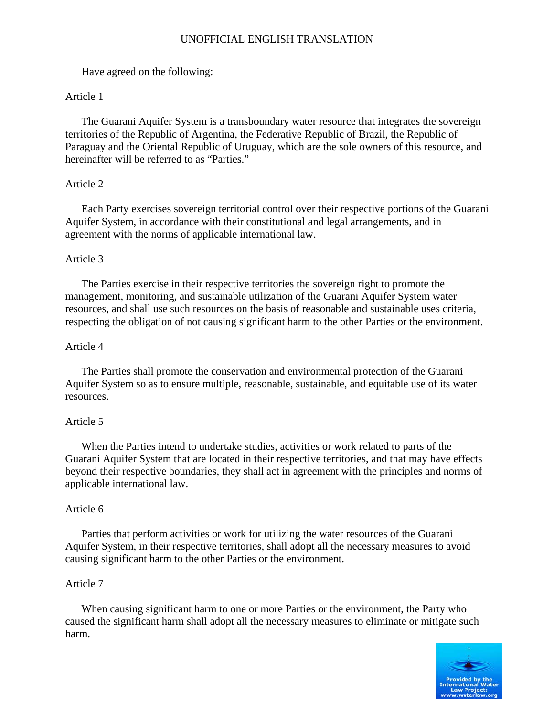Have agreed on the following:

## Article 1

The Guarani Aquifer System is a transboundary water resource that integrates the sovereign territories of the Republic of Argentina, the Federative Republic of Brazil, the Republic of Paraguay and the Oriental Republic of Uruguay, which are the sole owners of this resource, and hereinafter will be referred to as "Parties."

## Article 2

Each Party exercises sovereign territorial control over their respective portions of the Guarani Aquifer System, in accordance with their constitutional and legal arrangements, and in agreement with the norms of applicable international law.

## Article 3

The Parties exercise in their respective territories the sovereign right to promote the management, monitoring, and sustainable utilization of the Guarani Aquifer System water resources, and shall use such resources on the basis of reasonable and sustainable uses criteria. respecting the obligation of not causing significant harm to the other Parties or the environment.

## Article 4

The Parties shall promote the conservation and environmental protection of the Guarani Aquifer System so as to ensure multiple, reasonable, sustainable, and equitable use of its water resources.

## Article 5

When the Parties intend to undertake studies, activities or work related to parts of the Guarani Aquifer System that are located in their respective territories, and that may have effects beyond their respective boundaries, they shall act in agreement with the principles and norms of applicable international law.

## Article 6

Parties that perform activities or work for utilizing the water resources of the Guarani Aquifer System, in their respective territories, shall adopt all the necessary measures to avoid causing significant harm to the other Parties or the environment.

## Article 7

When causing significant harm to one or more Parties or the environment, the Party who caused the significant harm shall adopt all the necessary measures to eliminate or mitigate such harm.

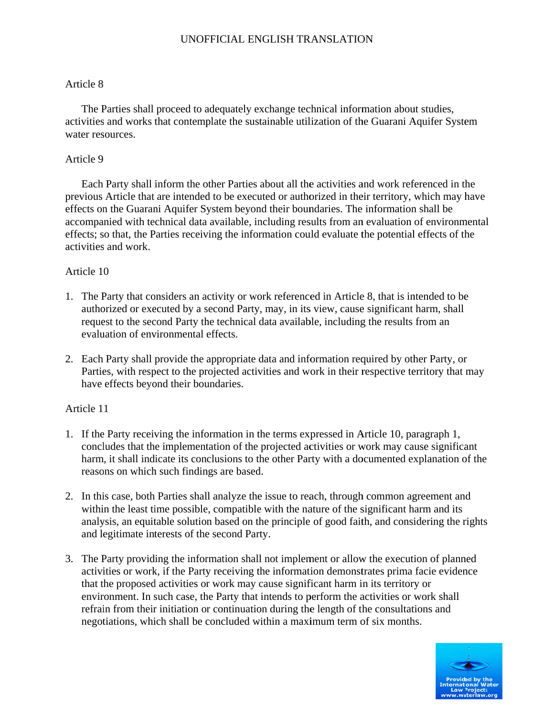# Article 8

The Parties shall proceed to adequately exchange technical information about studies, activities and works that contemplate the sustainable utilization of the Guarani Aquifer System water resources.

## Article 9

Each Party shall inform the other Parties about all the activities and work referenced in the previous Article that are intended to be executed or authorized in their territory, which may have effects on the Guarani Aquifer System beyond their boundaries. The information shall be accompanied with technical data available, including results from an evaluation of environmental effects; so that, the Parties receiving the information could evaluate the potential effects of the activities and work.

## Article 10

- 1. The Party that considers an activity or work referenced in Article 8, that is intended to be authorized or executed by a second Party, may, in its view, cause significant harm, shall request to the second Party the technical data available, including the results from an evaluation of environmental effects.
- 2. Each Party shall provide the appropriate data and information required by other Party, or Parties, with respect to the projected activities and work in their respective territory that may have effects beyond their boundaries.

## Article 11

- 1. If the Party receiving the information in the terms expressed in Article 10, paragraph 1, concludes that the implementation of the projected activities or work may cause significant harm, it shall indicate its conclusions to the other Party with a documented explanation of the reasons on which such findings are based.
- 2. In this case, both Parties shall analyze the issue to reach, through common agreement and within the least time possible, compatible with the nature of the significant harm and its analysis, an equitable solution based on the principle of good faith, and considering the rights and legitimate interests of the second Party.
- 3. The Party providing the information shall not implement or allow the execution of planned activities or work, if the Party receiving the information demonstrates prima facie evidence that the proposed activities or work may cause significant harm in its territory or environment. In such case, the Party that intends to perform the activities or work shall refrain from their initiation or continuation during the length of the consultations and negotiations, which shall be concluded within a maximum term of six months.

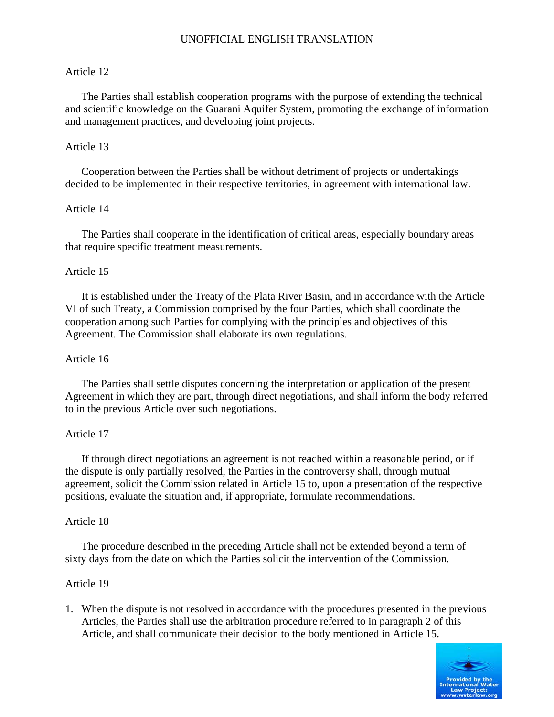# Article 1 2

The Parties shall establish cooperation programs with the purpose of extending the technical and scientific knowledge on the Guarani Aquifer System, promoting the exchange of information and management practices, and developing joint projects.

## Article 1 3

Cooperation between the Parties shall be without detriment of projects or undertakings decided to be implemented in their respective territories, in agreement with international law.

## Article 1 4

The Parties shall cooperate in the identification of critical areas, especially boundary areas that require specific treatment measurements.

## Article 1 5

It is established under the Treaty of the Plata River Basin, and in accordance with the Article VI of such Treaty, a Commission comprised by the four Parties, which shall coordinate the cooperation among such Parties for complying with the principles and objectives of this Agreement. The Commission shall elaborate its own regulations.

## Article 1 6

The Parties shall settle disputes concerning the interpretation or application of the present Agreement in which they are part, through direct negotiations, and shall inform the body referred to in the previous Article over such negotiations.

## Article 1 7

If through direct negotiations an agreement is not reached within a reasonable period, or if the dispute is only partially resolved, the Parties in the controversy shall, through mutual agreement, solicit the Commission related in Article 15 to, upon a presentation of the respective positions, evaluate the situation and, if appropriate, formulate recommendations.

## Article 1 8

The procedure described in the preceding Article shall not be extended beyond a term of sixty days from the date on which the Parties solicit the intervention of the Commission. The procedure described in the preceding Article shall not be extended beyond a term of<br>sixty days from the date on which the Parties solicit the intervention of the Commission.<br>Article 19<br>1. When the dispute is not resolv

## Article 1 9

Articles, the Parties shall use the arbitration procedure referred to in paragraph 2 of this Article, and shall communicate their decision to the body mentioned in Article 15.